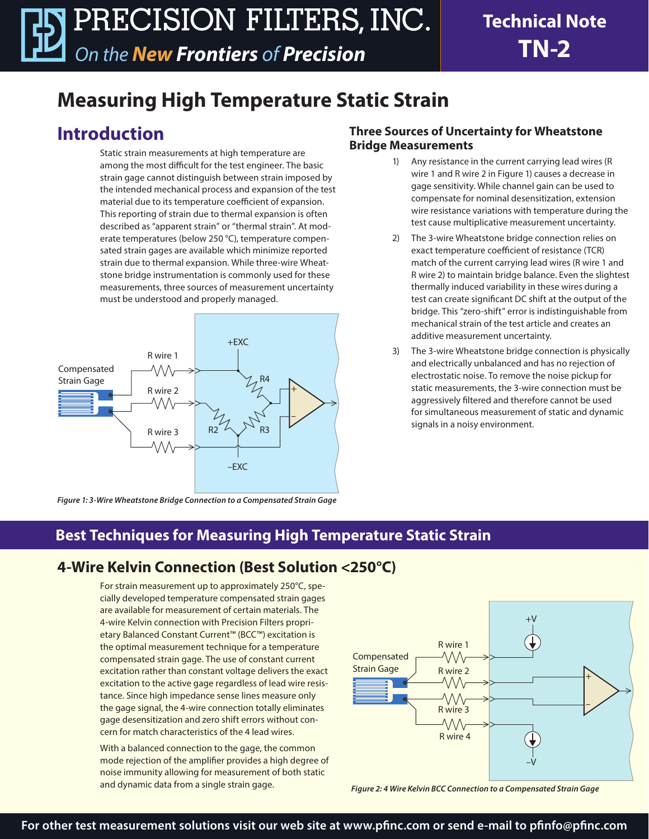# **Measuring High Temperature Static Strain**

## **Introduction**

Static strain measurements at high temperature are among the most difficult for the test engineer. The basic strain gage cannot distinguish between strain imposed by the intended mechanical process and expansion of the test material due to its temperature coefficient of expansion. This reporting of strain due to thermal expansion is often described as "apparent strain" or "thermal strain". At moderate temperatures (below 250 °C), temperature compensated strain gages are available which minimize reported strain due to thermal expansion. While three-wire Wheatstone bridge instrumentation is commonly used for these measurements, three sources of measurement uncertainty must be understood and properly managed.



#### **Three Sources of Uncertainty for Wheatstone Bridge Measurements**

- Any resistance in the current carrying lead wires (R wire 1 and R wire 2 in Figure 1) causes a decrease in gage sensitivity. While channel gain can be used to compensate for nominal desensitization, extension wire resistance variations with temperature during the test cause multiplicative measurement uncertainty.
- 2) The 3-wire Wheatstone bridge connection relies on exact temperature coefficient of resistance (TCR) match of the current carrying lead wires (R wire 1 and R wire 2) to maintain bridge balance. Even the slightest thermally induced variability in these wires during a test can create significant DC shift at the output of the bridge. This "zero-shift" error is indistinguishable from mechanical strain of the test article and creates an additive measurement uncertainty.
- 3) The 3-wire Wheatstone bridge connection is physically and electrically unbalanced and has no rejection of electrostatic noise. To remove the noise pickup for static measurements, the 3-wire connection must be aggressively filtered and therefore cannot be used for simultaneous measurement of static and dynamic signals in a noisy environment.

*Figure 1: 3-Wire Wheatstone Bridge Connection to a Compensated Strain Gage*

### **Best Techniques for Measuring High Temperature Static Strain**

#### **4-Wire Kelvin Connection (Best Solution <250°C)**

For strain measurement up to approximately 250°C, specially developed temperature compensated strain gages are available for measurement of certain materials. The 4-wire Kelvin connection with Precision Filters proprietary Balanced Constant Current™ (BCC™) excitation is the optimal measurement technique for a temperature compensated strain gage. The use of constant current excitation rather than constant voltage delivers the exact excitation to the active gage regardless of lead wire resistance. Since high impedance sense lines measure only the gage signal, the 4-wire connection totally eliminates gage desensitization and zero shift errors without concern for match characteristics of the 4 lead wires.

With a balanced connection to the gage, the common mode rejection of the amplifier provides a high degree of noise immunity allowing for measurement of both static and dynamic data from a single strain gage.



*Figure 2: 4 Wire Kelvin BCC Connection to a Compensated Strain Gage*